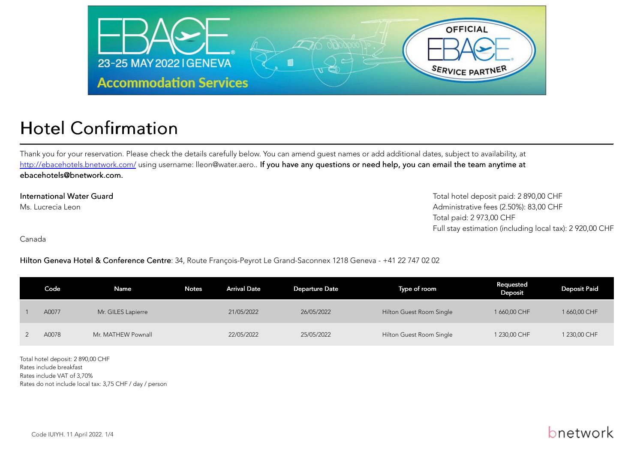

# Hotel Confirmation

Thank you for your reservation. Please check the details carefully below. You can amend guest names or add additional dates, subject to availability, at[http://ebacehotels.bnetwork.com/](http://ebacehotels.bnetwork.com/Login.aspx?LogAuto=1&UserGuid=F9215B11-164E-4124-AD6F-71E009E2D891&ReturnUrl=LoginDone.aspx) using username: lleon@water.aero.. I<mark>f you have any questions or need help, you can email the team anytime at</mark> ebacehotels@bnetwork.com.

International Water GuardMs. Lucrecia Leon

Total hotel deposit paid: 2 890,00 CHF Administrative fees (2.50%): 83,00 CHFTotal paid: 2 973,00 CHFFull stay estimation (including local tax): 2 920,00 CHF

Canada

Hilton Geneva Hotel & Conference Centre: 34, Route François-Peyrot Le Grand-Saconnex 1218 Geneva - +41 22 747 02 02

| Code  | Name               | Notes | <b>Arrival Date</b> | <b>Departure Date</b> | Type of room             | Requested<br>Deposit | <b>Deposit Paid</b> |
|-------|--------------------|-------|---------------------|-----------------------|--------------------------|----------------------|---------------------|
| A0077 | Mr. GILES Lapierre |       | 21/05/2022          | 26/05/2022            | Hilton Guest Room Single | 1 660,00 CHF         | 1 660,00 CHF        |
| A0078 | Mr. MATHEW Pownall |       | 22/05/2022          | 25/05/2022            | Hilton Guest Room Single | 1 230,00 CHF         | 1 230,00 CHF        |

Total hotel deposit: 2 890,00 CHFRates include breakfast Rates include VAT of 3,70%Rates do not include local tax: 3,75 CHF / day / person

### bnetwork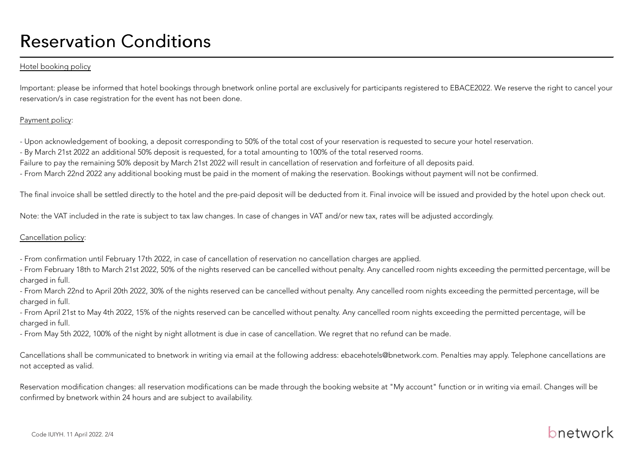# Reservation Conditions

#### Hotel booking policy

Important: please be informed that hotel bookings through bnetwork online portal are exclusively for participants registered to EBACE2022. We reserve the right to cancel yourreservation/s in case registration for the event has not been done.

#### Payment policy:

- Upon acknowledgement of booking, a deposit corresponding to 50% of the total cost of your reservation is requested to secure your hotel reservation.

- By March 21st 2022 an additional 50% deposit is requested, for a total amounting to 100% of the total reserved rooms.

Failure to pay the remaining 50% deposit by March 21st 2022 will result in cancellation of reservation and forfeiture of all deposits paid.

- From March 22nd 2022 any additional booking must be paid in the moment of making the reservation. Bookings without payment will not be confirmed.

The final invoice shall be settled directly to the hotel and the pre-paid deposit will be deducted from it. Final invoice will be issued and provided by the hotel upon check out.

Note: the VAT included in the rate is subject to tax law changes. In case of changes in VAT and/or new tax, rates will be adjusted accordingly.

#### Cancellation policy:

- From confirmation until February 17th 2022, in case of cancellation of reservation no cancellation charges are applied.

- From February 18th to March 21st 2022, 50% of the nights reserved can be cancelled without penalty. Any cancelled room nights exceeding the permitted percentage, will becharged in full.

- From March 22nd to April 20th 2022, 30% of the nights reserved can be cancelled without penalty. Any cancelled room nights exceeding the permitted percentage, will becharged in full.

- From April 21st to May 4th 2022, 15% of the nights reserved can be cancelled without penalty. Any cancelled room nights exceeding the permitted percentage, will becharged in full.

- From May 5th 2022, 100% of the night by night allotment is due in case of cancellation. We regret that no refund can be made.

Cancellations shall be communicated to bnetwork in writing via email at the following address: ebacehotels@bnetwork.com. Penalties may apply. Telephone cancellations arenot accepted as valid.

Reservation modification changes: all reservation modifications can be made through the booking website at "My account" function or in writing via email. Changes will beconfirmed by bnetwork within 24 hours and are subject to availability.

## bnetwork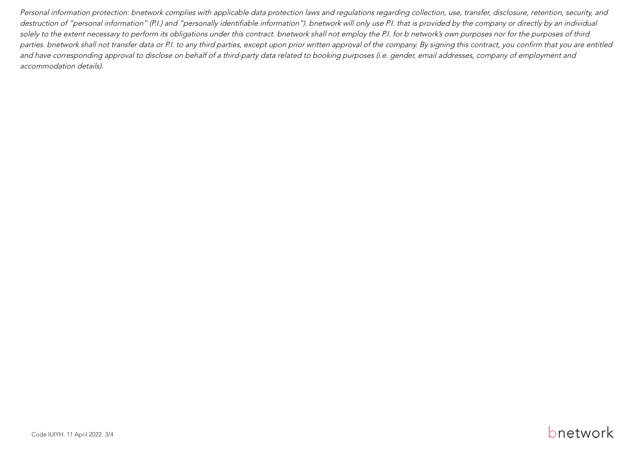Personal information protection: bnetwork complies with applicable data protection laws and regulations regarding collection, use, transfer, disclosure, retention, security, and destruction of "personal information" (P.I.) and "personally identifiable information"). bnetwork will only use P.I. that is provided by the company or directly by an individual solely to the extent necessary to perform its obligations under this contract. bnetwork shall not employ the P.I. for b network's own purposes nor for the purposes of third parties. bnetwork shall not transfer data or P.I. to any third parties, except upon prior written approval of the company. By signing this contract, you confirm that you are entitledand have corresponding approval to disclose on behalf of a third-party data related to booking purposes (i.e. gender, email addresses, company of employment andaccommodation details).